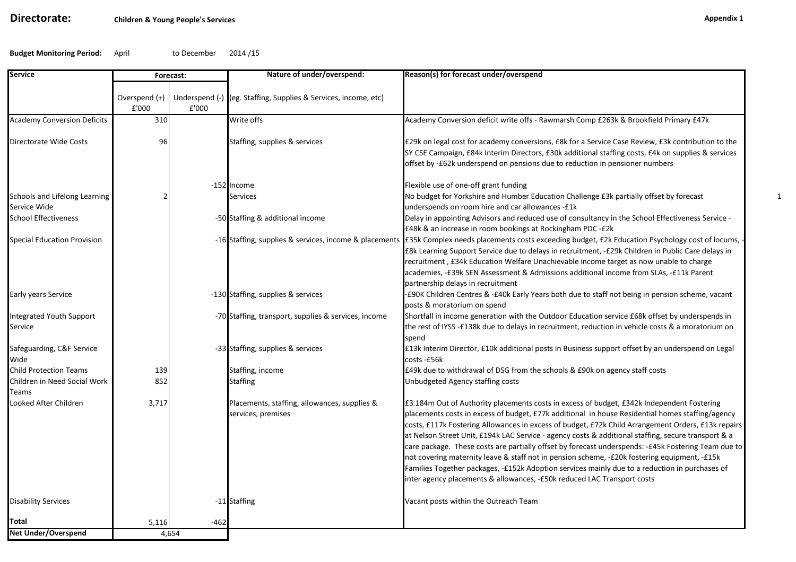# Directorate:

Budget Monitoring Period:April to December 2014 /15

| <b>Service</b>                                | Forecast:              |        | Nature of under/overspend:                                         | Reason(s) for forecast under/overspend                                                                                                                                                                                                                                                                                                                                                                                                                                                                                                                                                                                                                                                                                                                                                          |
|-----------------------------------------------|------------------------|--------|--------------------------------------------------------------------|-------------------------------------------------------------------------------------------------------------------------------------------------------------------------------------------------------------------------------------------------------------------------------------------------------------------------------------------------------------------------------------------------------------------------------------------------------------------------------------------------------------------------------------------------------------------------------------------------------------------------------------------------------------------------------------------------------------------------------------------------------------------------------------------------|
|                                               | Overspend (+)<br>£'000 | £'000  | Underspend (-) (eg. Staffing, Supplies & Services, income, etc)    |                                                                                                                                                                                                                                                                                                                                                                                                                                                                                                                                                                                                                                                                                                                                                                                                 |
| <b>Academy Conversion Deficits</b>            | 310                    |        | Write offs                                                         | Academy Conversion deficit write offs - Rawmarsh Comp £263k & Brookfield Primary £47k                                                                                                                                                                                                                                                                                                                                                                                                                                                                                                                                                                                                                                                                                                           |
| Directorate Wide Costs                        | 96                     |        | Staffing, supplies & services                                      | £29k on legal cost for academy conversions, £8k for a Service Case Review, £3k contribution to the<br>SY CSE Campaign, £84k Interim Directors, £30k additional staffing costs, £4k on supplies & services<br>offset by -£62k underspend on pensions due to reduction in pensioner numbers                                                                                                                                                                                                                                                                                                                                                                                                                                                                                                       |
|                                               |                        |        | -152 Income                                                        | Flexible use of one-off grant funding                                                                                                                                                                                                                                                                                                                                                                                                                                                                                                                                                                                                                                                                                                                                                           |
| Schools and Lifelong Learning<br>Service Wide |                        |        | <b>Services</b>                                                    | No budget for Yorkshire and Humber Education Challenge £3k partially offset by forecast<br>underspends on room hire and car allowances - £1k                                                                                                                                                                                                                                                                                                                                                                                                                                                                                                                                                                                                                                                    |
| School Effectiveness                          |                        |        | -50 Staffing & additional income                                   | Delay in appointing Advisors and reduced use of consultancy in the School Effectiveness Service -<br>£48k & an increase in room bookings at Rockingham PDC -£2k                                                                                                                                                                                                                                                                                                                                                                                                                                                                                                                                                                                                                                 |
| <b>Special Education Provision</b>            |                        |        | -16 Staffing, supplies & services, income & placements             | £35k Complex needs placements costs exceeding budget, £2k Education Psychology cost of locums,<br>£8k Learning Support Service due to delays in recruitment, -£29k Children in Public Care delays in<br>recruitment, £34k Education Welfare Unachievable income target as now unable to charge<br>academies, -£39k SEN Assessment & Admissions additional income from SLAs, -£11k Parent<br>partnership delays in recruitment                                                                                                                                                                                                                                                                                                                                                                   |
| Early years Service                           |                        |        | -130 Staffing, supplies & services                                 | -£90K Children Centres & -£40k Early Years both due to staff not being in pension scheme, vacant<br>posts & moratorium on spend                                                                                                                                                                                                                                                                                                                                                                                                                                                                                                                                                                                                                                                                 |
| Integrated Youth Support<br>Service           |                        |        | -70 Staffing, transport, supplies & services, income               | Shortfall in income generation with the Outdoor Education service £68k offset by underspends in<br>the rest of IYSS -£138k due to delays in recruitment, reduction in vehicle costs & a moratorium on<br>spend                                                                                                                                                                                                                                                                                                                                                                                                                                                                                                                                                                                  |
| Safeguarding, C&F Service<br>Wide             |                        |        | -33 Staffing, supplies & services                                  | £13k Interim Director, £10k additional posts in Business support offset by an underspend on Legal<br>costs -£56k                                                                                                                                                                                                                                                                                                                                                                                                                                                                                                                                                                                                                                                                                |
| <b>Child Protection Teams</b>                 | 139                    |        | Staffing, income                                                   | £49k due to withdrawal of DSG from the schools & £90k on agency staff costs                                                                                                                                                                                                                                                                                                                                                                                                                                                                                                                                                                                                                                                                                                                     |
| Children in Need Social Work<br>Teams         | 852                    |        | <b>Staffing</b>                                                    | Unbudgeted Agency staffing costs                                                                                                                                                                                                                                                                                                                                                                                                                                                                                                                                                                                                                                                                                                                                                                |
| Looked After Children                         | 3,717                  |        | Placements, staffing, allowances, supplies &<br>services, premises | £3.184m Out of Authority placements costs in excess of budget, £342k Independent Fostering<br>placements costs in excess of budget, £77k additional in house Residential homes staffing/agency<br>costs, £117k Fostering Allowances in excess of budget, £72k Child Arrangement Orders, £13k repairs<br>at Nelson Street Unit, £194k LAC Service - agency costs & additional staffing, secure transport & a<br>care package. These costs are partially offset by forecast underspends: -£45k Fostering Team due to<br>not covering maternity leave & staff not in pension scheme, -£20k fostering equipment, -£15k<br>Families Together packages, -£152k Adoption services mainly due to a reduction in purchases of<br>inter agency placements & allowances, -£50k reduced LAC Transport costs |
| <b>Disability Services</b>                    |                        |        | -11 Staffing                                                       | Vacant posts within the Outreach Team                                                                                                                                                                                                                                                                                                                                                                                                                                                                                                                                                                                                                                                                                                                                                           |
| Total                                         | 5,116                  | $-462$ |                                                                    |                                                                                                                                                                                                                                                                                                                                                                                                                                                                                                                                                                                                                                                                                                                                                                                                 |
| Net Under/Overspend                           |                        | 4.654  |                                                                    |                                                                                                                                                                                                                                                                                                                                                                                                                                                                                                                                                                                                                                                                                                                                                                                                 |

1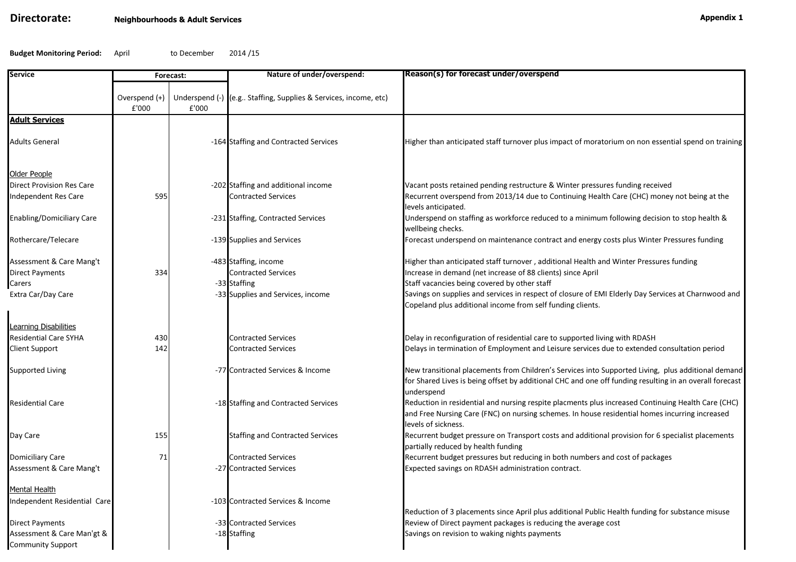## Directorate:

Budget Monitoring Period:April to December 2014 /15

| Service                                                                     | Forecast:              |       | Nature of under/overspend:                                                                               | Reason(s) for forecast under/overspend                                                                                                                                                                                                                                                                                                                                     |
|-----------------------------------------------------------------------------|------------------------|-------|----------------------------------------------------------------------------------------------------------|----------------------------------------------------------------------------------------------------------------------------------------------------------------------------------------------------------------------------------------------------------------------------------------------------------------------------------------------------------------------------|
|                                                                             | Overspend (+)<br>£'000 | £'000 | Underspend (-) (e.g Staffing, Supplies & Services, income, etc)                                          |                                                                                                                                                                                                                                                                                                                                                                            |
| <b>Adult Services</b>                                                       |                        |       |                                                                                                          |                                                                                                                                                                                                                                                                                                                                                                            |
| Adults General                                                              |                        |       | -164 Staffing and Contracted Services                                                                    | Higher than anticipated staff turnover plus impact of moratorium on non essential spend on training                                                                                                                                                                                                                                                                        |
| Older People<br><b>Direct Provision Res Care</b><br>Independent Res Care    | 595                    |       | -202 Staffing and additional income<br><b>Contracted Services</b>                                        | Vacant posts retained pending restructure & Winter pressures funding received<br>Recurrent overspend from 2013/14 due to Continuing Health Care (CHC) money not being at the                                                                                                                                                                                               |
| <b>Enabling/Domiciliary Care</b>                                            |                        |       | -231 Staffing, Contracted Services                                                                       | levels anticipated.<br>Underspend on staffing as workforce reduced to a minimum following decision to stop health &<br>wellbeing checks.                                                                                                                                                                                                                                   |
| Rothercare/Telecare                                                         |                        |       | -139 Supplies and Services                                                                               | Forecast underspend on maintenance contract and energy costs plus Winter Pressures funding                                                                                                                                                                                                                                                                                 |
| Assessment & Care Mang't<br>Direct Payments<br>Carers<br>Extra Car/Day Care | 334                    |       | -483 Staffing, income<br><b>Contracted Services</b><br>-33 Staffing<br>-33 Supplies and Services, income | Higher than anticipated staff turnover, additional Health and Winter Pressures funding<br>Increase in demand (net increase of 88 clients) since April<br>Staff vacancies being covered by other staff<br>Savings on supplies and services in respect of closure of EMI Elderly Day Services at Charnwood and<br>Copeland plus additional income from self funding clients. |
| Learning Disabilities<br><b>Residential Care SYHA</b><br>Client Support     | 430<br>142             |       | <b>Contracted Services</b><br><b>Contracted Services</b>                                                 | Delay in reconfiguration of residential care to supported living with RDASH<br>Delays in termination of Employment and Leisure services due to extended consultation period                                                                                                                                                                                                |
| Supported Living                                                            |                        |       | -77 Contracted Services & Income                                                                         | New transitional placements from Children's Services into Supported Living, plus additional demand<br>for Shared Lives is being offset by additional CHC and one off funding resulting in an overall forecast                                                                                                                                                              |
| <b>Residential Care</b>                                                     |                        |       | -18 Staffing and Contracted Services                                                                     | underspend<br>Reduction in residential and nursing respite placments plus increased Continuing Health Care (CHC)<br>and Free Nursing Care (FNC) on nursing schemes. In house residential homes incurring increased<br>levels of sickness.                                                                                                                                  |
| Day Care                                                                    | 155                    |       | <b>Staffing and Contracted Services</b>                                                                  | Recurrent budget pressure on Transport costs and additional provision for 6 specialist placements<br>partially reduced by health funding                                                                                                                                                                                                                                   |
| Domiciliary Care<br>Assessment & Care Mang't                                | 71                     |       | <b>Contracted Services</b><br>-27 Contracted Services                                                    | Recurrent budget pressures but reducing in both numbers and cost of packages<br>Expected savings on RDASH administration contract.                                                                                                                                                                                                                                         |
| Mental Health                                                               |                        |       |                                                                                                          |                                                                                                                                                                                                                                                                                                                                                                            |
| Independent Residential Care                                                |                        |       | -103 Contracted Services & Income                                                                        | Reduction of 3 placements since April plus additional Public Health funding for substance misuse                                                                                                                                                                                                                                                                           |
| Direct Payments<br>Assessment & Care Man'gt &<br><b>Community Support</b>   |                        |       | -33 Contracted Services<br>-18 Staffing                                                                  | Review of Direct payment packages is reducing the average cost<br>Savings on revision to waking nights payments                                                                                                                                                                                                                                                            |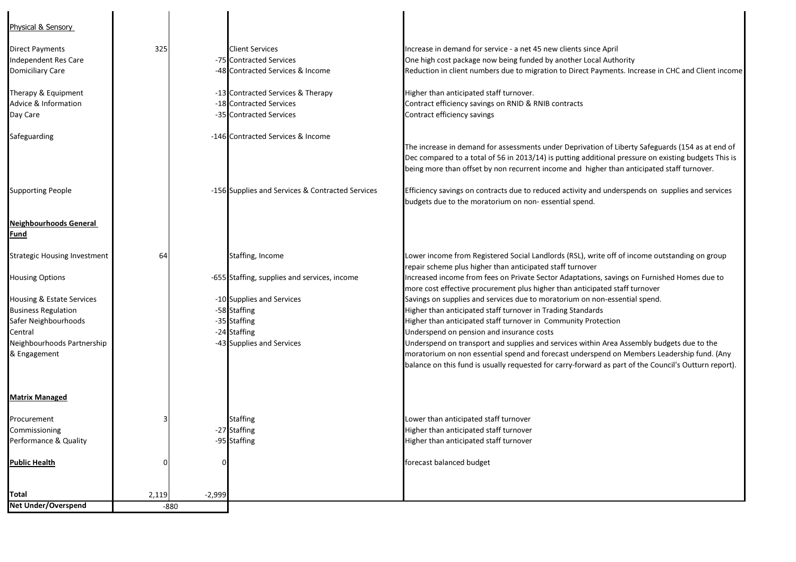| Physical & Sensory                  |          |          |                                                  |                                                                                                       |
|-------------------------------------|----------|----------|--------------------------------------------------|-------------------------------------------------------------------------------------------------------|
| <b>Direct Payments</b>              | 325      |          | <b>Client Services</b>                           | Increase in demand for service - a net 45 new clients since April                                     |
| Independent Res Care                |          |          | -75 Contracted Services                          | One high cost package now being funded by another Local Authority                                     |
| <b>Domiciliary Care</b>             |          |          | -48 Contracted Services & Income                 | Reduction in client numbers due to migration to Direct Payments. Increase in CHC and Client income    |
|                                     |          |          |                                                  |                                                                                                       |
| Therapy & Equipment                 |          |          | -13 Contracted Services & Therapy                | Higher than anticipated staff turnover.                                                               |
| Advice & Information                |          |          | -18 Contracted Services                          | Contract efficiency savings on RNID & RNIB contracts                                                  |
| Day Care                            |          |          | -35 Contracted Services                          | Contract efficiency savings                                                                           |
|                                     |          |          | -146 Contracted Services & Income                |                                                                                                       |
| Safeguarding                        |          |          |                                                  | The increase in demand for assessments under Deprivation of Liberty Safeguards (154 as at end of      |
|                                     |          |          |                                                  |                                                                                                       |
|                                     |          |          |                                                  | Dec compared to a total of 56 in 2013/14) is putting additional pressure on existing budgets This is  |
|                                     |          |          |                                                  | being more than offset by non recurrent income and higher than anticipated staff turnover.            |
| <b>Supporting People</b>            |          |          | -156 Supplies and Services & Contracted Services | Efficiency savings on contracts due to reduced activity and underspends on supplies and services      |
|                                     |          |          |                                                  | budgets due to the moratorium on non-essential spend.                                                 |
| <b>Neighbourhoods General</b>       |          |          |                                                  |                                                                                                       |
| <b>Fund</b>                         |          |          |                                                  |                                                                                                       |
|                                     |          |          |                                                  |                                                                                                       |
| <b>Strategic Housing Investment</b> | 64       |          | Staffing, Income                                 | Lower income from Registered Social Landlords (RSL), write off of income outstanding on group         |
|                                     |          |          |                                                  | repair scheme plus higher than anticipated staff turnover                                             |
| <b>Housing Options</b>              |          |          | -655 Staffing, supplies and services, income     | Increased income from fees on Private Sector Adaptations, savings on Furnished Homes due to           |
|                                     |          |          |                                                  | more cost effective procurement plus higher than anticipated staff turnover                           |
| Housing & Estate Services           |          |          | -10 Supplies and Services                        | Savings on supplies and services due to moratorium on non-essential spend.                            |
| <b>Business Regulation</b>          |          |          | -58 Staffing                                     | Higher than anticipated staff turnover in Trading Standards                                           |
| Safer Neighbourhoods                |          |          | -35 Staffing                                     | Higher than anticipated staff turnover in Community Protection                                        |
| Central                             |          |          | -24 Staffing                                     | Underspend on pension and insurance costs                                                             |
| Neighbourhoods Partnership          |          |          | -43 Supplies and Services                        | Underspend on transport and supplies and services within Area Assembly budgets due to the             |
| & Engagement                        |          |          |                                                  | moratorium on non essential spend and forecast underspend on Members Leadership fund. (Any            |
|                                     |          |          |                                                  | balance on this fund is usually requested for carry-forward as part of the Council's Outturn report). |
|                                     |          |          |                                                  |                                                                                                       |
| <b>Matrix Managed</b>               |          |          |                                                  |                                                                                                       |
| Procurement                         |          |          | <b>Staffing</b>                                  | Lower than anticipated staff turnover                                                                 |
| Commissioning                       |          |          | -27 Staffing                                     | Higher than anticipated staff turnover                                                                |
| Performance & Quality               |          |          | -95 Staffing                                     | Higher than anticipated staff turnover                                                                |
| <b>Public Health</b>                | $\Omega$ | $\Omega$ |                                                  | forecast balanced budget                                                                              |
|                                     |          |          |                                                  |                                                                                                       |
|                                     |          |          |                                                  |                                                                                                       |
| Total                               | 2,119    | $-2,999$ |                                                  |                                                                                                       |
| <b>Net Under/Overspend</b>          | $-880$   |          |                                                  |                                                                                                       |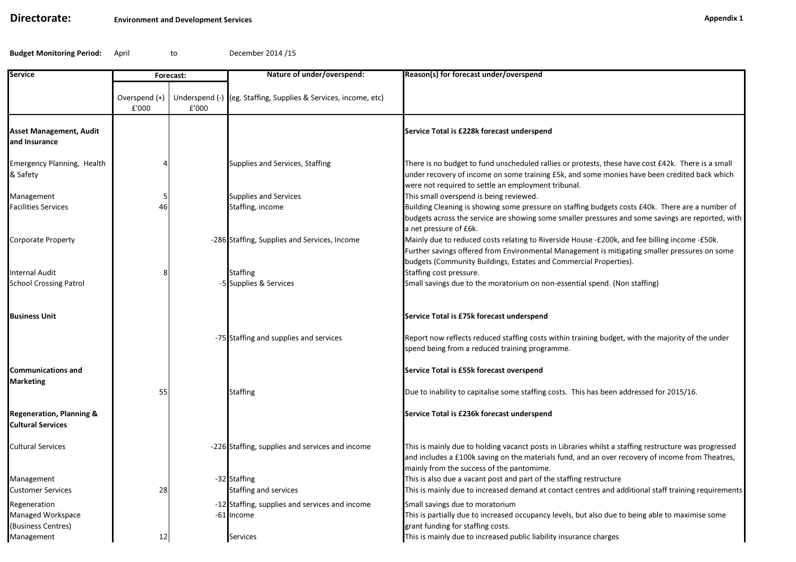### Directorate:

Budget Monitoring Period:April to December 2014 /15

| Service                                                         | Forecast:              |       | Nature of under/overspend:                                      | Reason(s) for forecast under/overspend                                                                                                                                                                                                                                     |
|-----------------------------------------------------------------|------------------------|-------|-----------------------------------------------------------------|----------------------------------------------------------------------------------------------------------------------------------------------------------------------------------------------------------------------------------------------------------------------------|
|                                                                 | Overspend (+)<br>£'000 | £'000 | Underspend (-) (eg. Staffing, Supplies & Services, income, etc) |                                                                                                                                                                                                                                                                            |
| Asset Management, Audit<br>and Insurance                        |                        |       |                                                                 | Service Total is £228k forecast underspend                                                                                                                                                                                                                                 |
| Emergency Planning, Health<br>& Safety                          | 4                      |       | Supplies and Services, Staffing                                 | There is no budget to fund unscheduled rallies or protests, these have cost £42k. There is a small<br>under recovery of income on some training £5k, and some monies have been credited back which<br>were not required to settle an employment tribunal.                  |
| Management<br>Facilities Services                               | 5<br>46                |       | <b>Supplies and Services</b><br>Staffing, income                | This small overspend is being reviewed.<br>Building Cleaning is showing some pressure on staffing budgets costs £40k. There are a number of<br>budgets across the service are showing some smaller pressures and some savings are reported, with<br>a net pressure of £6k. |
| Corporate Property                                              |                        |       | -286 Staffing, Supplies and Services, Income                    | Mainly due to reduced costs relating to Riverside House -£200k, and fee billing income -£50k.<br>Further savings offered from Environmental Management is mitigating smaller pressures on some<br>budgets (Community Buildings, Estates and Commercial Properties).        |
| Internal Audit<br><b>School Crossing Patrol</b>                 | 8                      |       | <b>Staffing</b><br>-5 Supplies & Services                       | Staffing cost pressure.<br>Small savings due to the moratorium on non-essential spend. (Non staffing)                                                                                                                                                                      |
| <b>Business Unit</b>                                            |                        |       |                                                                 | Service Total is £75k forecast underspend                                                                                                                                                                                                                                  |
|                                                                 |                        |       | -75 Staffing and supplies and services                          | Report now reflects reduced staffing costs within training budget, with the majority of the under<br>spend being from a reduced training programme.                                                                                                                        |
| <b>Communications and</b><br>Marketing                          |                        |       |                                                                 | Service Total is £55k forecast overspend                                                                                                                                                                                                                                   |
|                                                                 | 55                     |       | <b>Staffing</b>                                                 | Due to inability to capitalise some staffing costs. This has been addressed for 2015/16.                                                                                                                                                                                   |
| <b>Regeneration, Planning &amp;</b><br><b>Cultural Services</b> |                        |       |                                                                 | Service Total is £236k forecast underspend                                                                                                                                                                                                                                 |
| <b>Cultural Services</b>                                        |                        |       | -226 Staffing, supplies and services and income                 | This is mainly due to holding vacanct posts in Libraries whilst a staffing restructure was progressed<br>and includes a £100k saving on the materials fund, and an over recovery of income from Theatres,<br>mainly from the success of the pantomime.                     |
| Management                                                      |                        |       | -32 Staffing                                                    | This is also due a vacant post and part of the staffing restructure                                                                                                                                                                                                        |
| <b>Customer Services</b>                                        | 28                     |       | <b>Staffing and services</b>                                    | This is mainly due to increased demand at contact centres and additional staff training requirements                                                                                                                                                                       |
| Regeneration                                                    |                        |       | -12 Staffing, supplies and services and income                  | Small savings due to moratorium                                                                                                                                                                                                                                            |
| Managed Workspace<br>(Business Centres)                         |                        |       | -61 Income                                                      | This is partially due to increased occupancy levels, but also due to being able to maximise some<br>grant funding for staffing costs.                                                                                                                                      |
| Management                                                      | 12                     |       | <b>Services</b>                                                 | This is mainly due to increased public liability insurance charges                                                                                                                                                                                                         |
|                                                                 |                        |       |                                                                 |                                                                                                                                                                                                                                                                            |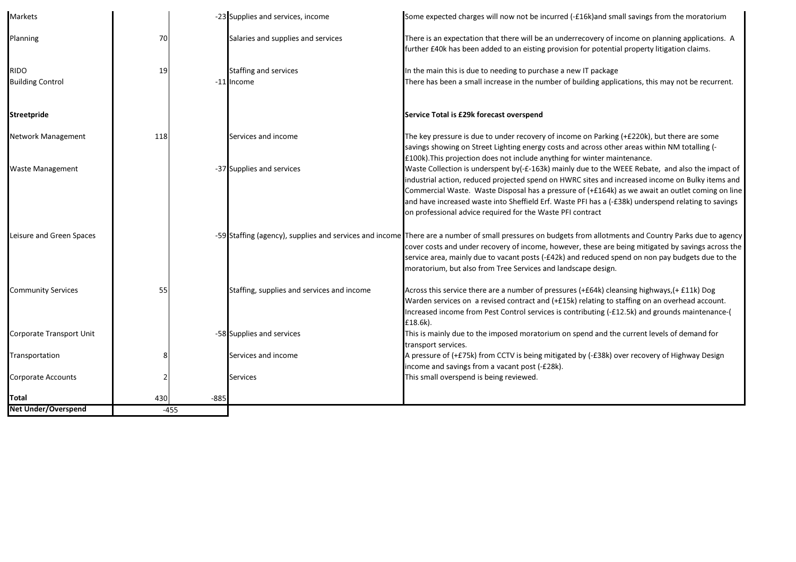| Markets                    |     |        | -23 Supplies and services, income          | Some expected charges will now not be incurred (-£16k)and small savings from the moratorium                                                                                                                                                                                                                                                                                                                                                                                   |
|----------------------------|-----|--------|--------------------------------------------|-------------------------------------------------------------------------------------------------------------------------------------------------------------------------------------------------------------------------------------------------------------------------------------------------------------------------------------------------------------------------------------------------------------------------------------------------------------------------------|
| Planning                   | 70  |        | Salaries and supplies and services         | There is an expectation that there will be an underrecovery of income on planning applications. A<br>further £40k has been added to an eisting provision for potential property litigation claims.                                                                                                                                                                                                                                                                            |
| <b>RIDO</b>                | 19  |        | <b>Staffing and services</b>               | In the main this is due to needing to purchase a new IT package                                                                                                                                                                                                                                                                                                                                                                                                               |
| <b>Building Control</b>    |     |        | -11 Income                                 | There has been a small increase in the number of building applications, this may not be recurrent.                                                                                                                                                                                                                                                                                                                                                                            |
| <b>Streetpride</b>         |     |        |                                            | Service Total is £29k forecast overspend                                                                                                                                                                                                                                                                                                                                                                                                                                      |
| Network Management         | 118 |        | Services and income                        | The key pressure is due to under recovery of income on Parking (+£220k), but there are some<br>savings showing on Street Lighting energy costs and across other areas within NM totalling (-<br>£100k). This projection does not include anything for winter maintenance.                                                                                                                                                                                                     |
| <b>Waste Management</b>    |     |        | -37 Supplies and services                  | Waste Collection is underspent by(-£-163k) mainly due to the WEEE Rebate, and also the impact of<br>industrial action, reduced projected spend on HWRC sites and increased income on Bulky items and<br>Commercial Waste. Waste Disposal has a pressure of (+£164k) as we await an outlet coming on line<br>and have increased waste into Sheffield Erf. Waste PFI has a (-£38k) underspend relating to savings<br>on professional advice required for the Waste PFI contract |
| Leisure and Green Spaces   |     |        |                                            | -59 Staffing (agency), supplies and services and income There are a number of small pressures on budgets from allotments and Country Parks due to agency<br>cover costs and under recovery of income, however, these are being mitigated by savings across the<br>service area, mainly due to vacant posts (-£42k) and reduced spend on non pay budgets due to the<br>moratorium, but also from Tree Services and landscape design.                                           |
| <b>Community Services</b>  | 55  |        | Staffing, supplies and services and income | Across this service there are a number of pressures (+£64k) cleansing highways, (+ £11k) Dog<br>Warden services on a revised contract and (+£15k) relating to staffing on an overhead account.<br>Increased income from Pest Control services is contributing (-£12.5k) and grounds maintenance-(<br>£18.6k).                                                                                                                                                                 |
| Corporate Transport Unit   |     |        | -58 Supplies and services                  | This is mainly due to the imposed moratorium on spend and the current levels of demand for<br>transport services.                                                                                                                                                                                                                                                                                                                                                             |
| Transportation             |     |        | Services and income                        | A pressure of (+£75k) from CCTV is being mitigated by (-£38k) over recovery of Highway Design<br>income and savings from a vacant post (-£28k).                                                                                                                                                                                                                                                                                                                               |
| <b>Corporate Accounts</b>  |     |        | <b>Services</b>                            | This small overspend is being reviewed.                                                                                                                                                                                                                                                                                                                                                                                                                                       |
| Total                      | 430 | $-885$ |                                            |                                                                                                                                                                                                                                                                                                                                                                                                                                                                               |
| <b>Net Under/Overspend</b> |     | $-455$ |                                            |                                                                                                                                                                                                                                                                                                                                                                                                                                                                               |